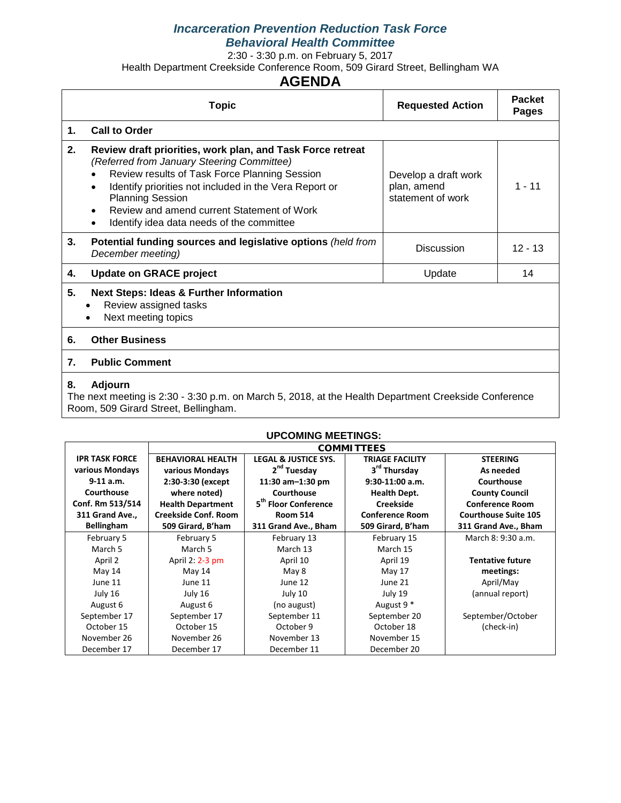#### *Incarceration Prevention Reduction Task Force Behavioral Health Committee*

2:30 - 3:30 p.m. on February 5, 2017

Health Department Creekside Conference Room, 509 Girard Street, Bellingham WA

# **AGENDA**

|    | <b>Topic</b>                                                                                                                                                                                                                                                                                                                                                        | <b>Requested Action</b>                                  | <b>Packet</b><br><b>Pages</b> |
|----|---------------------------------------------------------------------------------------------------------------------------------------------------------------------------------------------------------------------------------------------------------------------------------------------------------------------------------------------------------------------|----------------------------------------------------------|-------------------------------|
| 1. | <b>Call to Order</b>                                                                                                                                                                                                                                                                                                                                                |                                                          |                               |
| 2. | Review draft priorities, work plan, and Task Force retreat<br>(Referred from January Steering Committee)<br>Review results of Task Force Planning Session<br>Identify priorities not included in the Vera Report or<br>$\bullet$<br><b>Planning Session</b><br>Review and amend current Statement of Work<br>Identify idea data needs of the committee<br>$\bullet$ | Develop a draft work<br>plan, amend<br>statement of work | $1 - 11$                      |
| 3. | Potential funding sources and legislative options (held from<br>December meeting)                                                                                                                                                                                                                                                                                   | <b>Discussion</b>                                        | $12 - 13$                     |
| 4. | <b>Update on GRACE project</b>                                                                                                                                                                                                                                                                                                                                      | Update                                                   | 14                            |
| 5. | <b>Next Steps: Ideas &amp; Further Information</b><br>Review assigned tasks<br>$\bullet$<br>Next meeting topics<br>٠                                                                                                                                                                                                                                                |                                                          |                               |
| 6. | <b>Other Business</b>                                                                                                                                                                                                                                                                                                                                               |                                                          |                               |
| 7. | <b>Public Comment</b>                                                                                                                                                                                                                                                                                                                                               |                                                          |                               |
| 8. | <b>Adjourn</b><br>The next meeting is 2:20 $-2.20 \times m$ on Merch E, 2010, ot the Health Department Creakeide Cenference                                                                                                                                                                                                                                         |                                                          |                               |

The next meeting is 2:30 - 3:30 p.m. on March 5, 2018, at the Health Department Creekside Conference Room, 509 Girard Street, Bellingham.

|                       |                                                                                  | <b>UPCOMING MEETINGS:</b>       |                          |                             |  |
|-----------------------|----------------------------------------------------------------------------------|---------------------------------|--------------------------|-----------------------------|--|
|                       | <b>COMMITTEES</b>                                                                |                                 |                          |                             |  |
| <b>IPR TASK FORCE</b> | <b>BEHAVIORAL HEALTH</b>                                                         | <b>LEGAL &amp; JUSTICE SYS.</b> | <b>TRIAGE FACILITY</b>   | <b>STEERING</b>             |  |
| various Mondays       | various Mondays                                                                  | 2 <sup>nd</sup> Tuesday         | 3 <sup>rd</sup> Thursday | As needed                   |  |
| $9-11$ a.m.           | 2:30-3:30 (except                                                                | 11:30 am $-1:30$ pm             | $9:30-11:00$ a.m.        | Courthouse                  |  |
| Courthouse            | where noted)                                                                     | Courthouse                      | <b>Health Dept.</b>      | <b>County Council</b>       |  |
| Conf. Rm 513/514      | 5 <sup>th</sup> Floor Conference<br><b>Creekside</b><br><b>Health Department</b> |                                 |                          | <b>Conference Room</b>      |  |
| 311 Grand Ave.,       | Creekside Conf. Room                                                             | <b>Room 514</b>                 | <b>Conference Room</b>   | <b>Courthouse Suite 105</b> |  |
| <b>Bellingham</b>     | 509 Girard, B'ham                                                                | 311 Grand Ave., Bham            | 509 Girard, B'ham        | 311 Grand Ave., Bham        |  |
| February 5            | February 5                                                                       | February 13                     | February 15              | March 8: 9:30 a.m.          |  |
| March 5               | March 5                                                                          | March 13                        | March 15                 |                             |  |
| April 2               | April 2: 2-3 pm                                                                  | April 10                        | April 19                 | <b>Tentative future</b>     |  |
| May 14                | May 14                                                                           | May 8                           | May 17                   | meetings:                   |  |
| June 11               | June 11                                                                          | June 12                         | June 21                  | April/May                   |  |
| July 16               | July 16                                                                          | July 10                         | July 19                  | (annual report)             |  |
| August 6              | August 6                                                                         | (no august)                     | August 9 <sup>*</sup>    |                             |  |
| September 17          | September 17                                                                     | September 11                    | September 20             | September/October           |  |
| October 15            | October 15                                                                       | October 9                       | October 18               | (check-in)                  |  |
| November 26           | November 26                                                                      | November 13                     | November 15              |                             |  |
| December 17           | December 17                                                                      | December 11                     | December 20              |                             |  |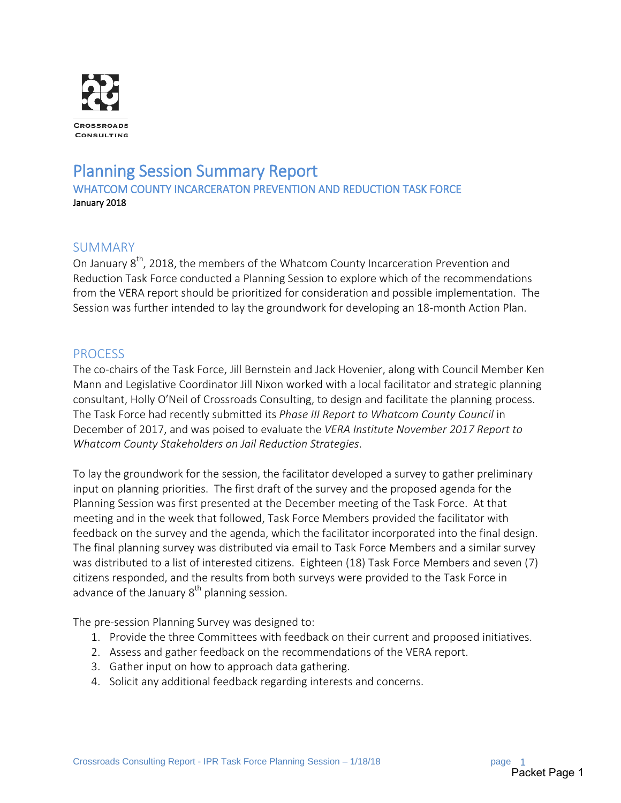

# Planning Session Summary Report<br>WHATCOM COUNTY INCARCERATON PREVENTION AND REDUCTION TASK FORCE January 2018

### SUMMARY

On January 8<sup>th</sup>, 2018, the members of the Whatcom County Incarceration Prevention and Reduction Task Force conducted a Planning Session to explore which of the recommendations from the VERA report should be prioritized for consideration and possible implementation. The Session was further intended to lay the groundwork for developing an 18-month Action Plan.

### PROCESS

The co-chairs of the Task Force, Jill Bernstein and Jack Hovenier, along with Council Member Ken Mann and Legislative Coordinator Jill Nixon worked with a local facilitator and strategic planning consultant, Holly O'Neil of Crossroads Consulting, to design and facilitate the planning process. The Task Force had recently submitted its *Phase III Report to Whatcom County Council* in December of 2017, and was poised to evaluate the *VERA Institute November 2017 Report to Whatcom County Stakeholders on Jail Reduction Strategies*.

To lay the groundwork for the session, the facilitator developed a survey to gather preliminary input on planning priorities. The first draft of the survey and the proposed agenda for the Planning Session was first presented at the December meeting of the Task Force. At that meeting and in the week that followed, Task Force Members provided the facilitator with feedback on the survey and the agenda, which the facilitator incorporated into the final design. The final planning survey was distributed via email to Task Force Members and a similar survey was distributed to a list of interested citizens. Eighteen (18) Task Force Members and seven (7) citizens responded, and the results from both surveys were provided to the Task Force in advance of the January  $8<sup>th</sup>$  planning session.

The pre-session Planning Survey was designed to:

- 1. Provide the three Committees with feedback on their current and proposed initiatives.
- 2. Assess and gather feedback on the recommendations of the VERA report.
- 3. Gather input on how to approach data gathering.
- 4. Solicit any additional feedback regarding interests and concerns.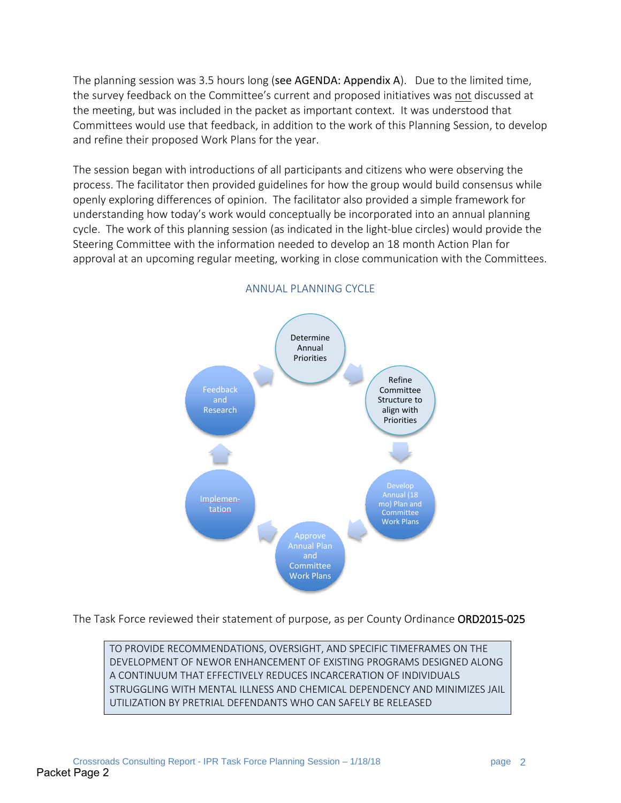The planning session was 3.5 hours long (see AGENDA: Appendix A). Due to the limited time, the survey feedback on the Committee's current and proposed initiatives was not discussed at the meeting, but was included in the packet as important context. It was understood that Committees would use that feedback, in addition to the work of this Planning Session, to develop and refine their proposed Work Plans for the year.

The session began with introductions of all participants and citizens who were observing the process. The facilitator then provided guidelines for how the group would build consensus while openly exploring differences of opinion. The facilitator also provided a simple framework for understanding how today's work would conceptually be incorporated into an annual planning cycle. The work of this planning session (as indicated in the light-blue circles) would provide the Steering Committee with the information needed to develop an 18 month Action Plan for approval at an upcoming regular meeting, working in close communication with the Committees.



#### ANNUAL PLANNING CYCLE

The Task Force reviewed their statement of purpose, as per County Ordinance ORD2015-025

TO PROVIDE RECOMMENDATIONS, OVERSIGHT, AND SPECIFIC TIMEFRAMES ON THE DEVELOPMENT OF NEWOR ENHANCEMENT OF EXISTING PROGRAMS DESIGNED ALONG A CONTINUUM THAT EFFECTIVELY REDUCES INCARCERATION OF INDIVIDUALS STRUGGLING WITH MENTAL ILLNESS AND CHEMICAL DEPENDENCY AND MINIMIZES JAIL UTILIZATION BY PRETRIAL DEFENDANTS WHO CAN SAFELY BE RELEASED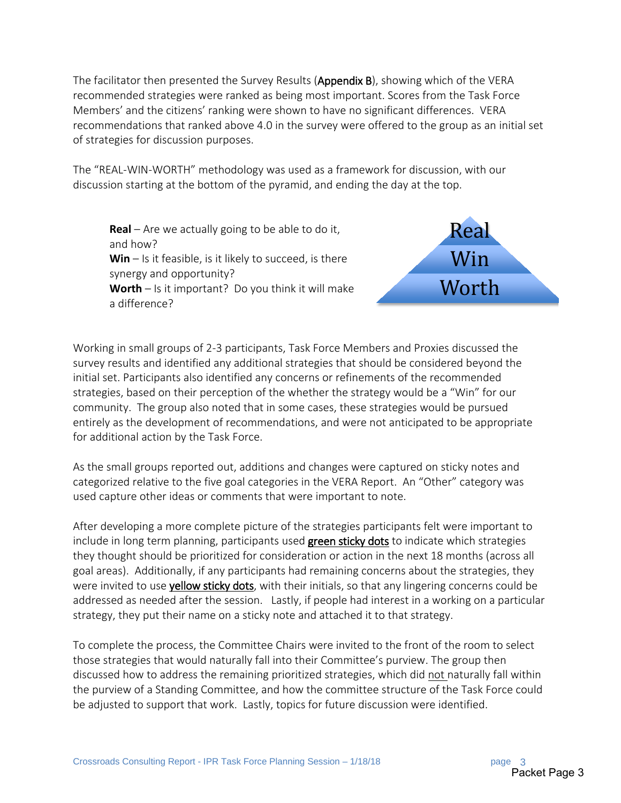The facilitator then presented the Survey Results (Appendix B), showing which of the VERA recommended strategies were ranked as being most important. Scores from the Task Force Members' and the citizens' ranking were shown to have no significant differences. VERA recommendations that ranked above 4.0 in the survey were offered to the group as an initial set of strategies for discussion purposes.

The "REAL-WIN-WORTH" methodology was used as a framework for discussion, with our discussion starting at the bottom of the pyramid, and ending the day at the top.

**Real** – Are we actually going to be able to do it, and how? **Win** – Is it feasible, is it likely to succeed, is there synergy and opportunity? **Worth** – Is it important? Do you think it will make a difference?



Working in small groups of 2-3 participants, Task Force Members and Proxies discussed the survey results and identified any additional strategies that should be considered beyond the initial set. Participants also identified any concerns or refinements of the recommended strategies, based on their perception of the whether the strategy would be a "Win" for our community. The group also noted that in some cases, these strategies would be pursued entirely as the development of recommendations, and were not anticipated to be appropriate for additional action by the Task Force.

As the small groups reported out, additions and changes were captured on sticky notes and categorized relative to the five goal categories in the VERA Report. An "Other" category was used capture other ideas or comments that were important to note.

After developing a more complete picture of the strategies participants felt were important to include in long term planning, participants used green sticky dots to indicate which strategies they thought should be prioritized for consideration or action in the next 18 months (across all goal areas). Additionally, if any participants had remaining concerns about the strategies, they were invited to use yellow sticky dots, with their initials, so that any lingering concerns could be addressed as needed after the session. Lastly, if people had interest in a working on a particular strategy, they put their name on a sticky note and attached it to that strategy.

To complete the process, the Committee Chairs were invited to the front of the room to select those strategies that would naturally fall into their Committee's purview. The group then discussed how to address the remaining prioritized strategies, which did not naturally fall within the purview of a Standing Committee, and how the committee structure of the Task Force could be adjusted to support that work. Lastly, topics for future discussion were identified.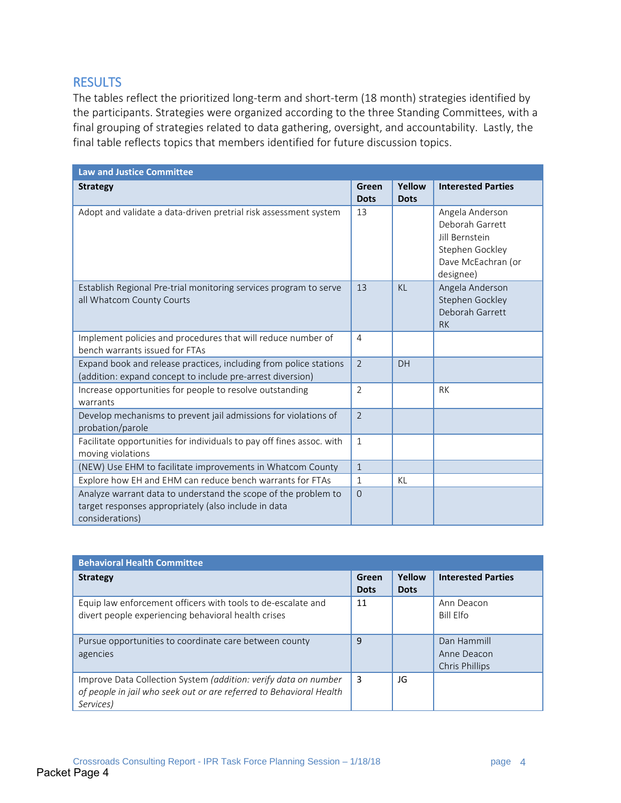### **RESULTS**

The tables reflect the prioritized long-term and short-term (18 month) strategies identified by the participants. Strategies were organized according to the three Standing Committees, with a final grouping of strategies related to data gathering, oversight, and accountability. Lastly, the final table reflects topics that members identified for future discussion topics.

| <b>Law and Justice Committee</b>                                                                                                          |                      |                       |                                                                                                                   |
|-------------------------------------------------------------------------------------------------------------------------------------------|----------------------|-----------------------|-------------------------------------------------------------------------------------------------------------------|
| <b>Strategy</b>                                                                                                                           | Green<br><b>Dots</b> | Yellow<br><b>Dots</b> | <b>Interested Parties</b>                                                                                         |
| Adopt and validate a data-driven pretrial risk assessment system                                                                          | 13                   |                       | Angela Anderson<br>Deborah Garrett<br><b>Iill Bernstein</b><br>Stephen Gockley<br>Dave McEachran (or<br>designee) |
| Establish Regional Pre-trial monitoring services program to serve<br>all Whatcom County Courts                                            | 13                   | K <sub>l</sub>        | Angela Anderson<br>Stephen Gockley<br>Deborah Garrett<br><b>RK</b>                                                |
| Implement policies and procedures that will reduce number of<br>bench warrants issued for FTAs                                            | $\overline{4}$       |                       |                                                                                                                   |
| Expand book and release practices, including from police stations<br>(addition: expand concept to include pre-arrest diversion)           | $\mathcal{L}$        | DH                    |                                                                                                                   |
| Increase opportunities for people to resolve outstanding<br>warrants                                                                      | $\overline{2}$       |                       | <b>RK</b>                                                                                                         |
| Develop mechanisms to prevent jail admissions for violations of<br>probation/parole                                                       | $\overline{2}$       |                       |                                                                                                                   |
| Facilitate opportunities for individuals to pay off fines assoc. with<br>moving violations                                                | $\mathbf{1}$         |                       |                                                                                                                   |
| (NEW) Use EHM to facilitate improvements in Whatcom County                                                                                | $\mathbf{1}$         |                       |                                                                                                                   |
| Explore how EH and EHM can reduce bench warrants for FTAs                                                                                 | $\mathbf{1}$         | KL                    |                                                                                                                   |
| Analyze warrant data to understand the scope of the problem to<br>target responses appropriately (also include in data<br>considerations) | $\mathbf 0$          |                       |                                                                                                                   |

| <b>Behavioral Health Committee</b>                                                                                                                  |                      |                       |                                              |
|-----------------------------------------------------------------------------------------------------------------------------------------------------|----------------------|-----------------------|----------------------------------------------|
| <b>Strategy</b>                                                                                                                                     | Green<br><b>Dots</b> | Yellow<br><b>Dots</b> | <b>Interested Parties</b>                    |
| Equip law enforcement officers with tools to de-escalate and<br>divert people experiencing behavioral health crises                                 | 11                   |                       | Ann Deacon<br>Bill Flfo                      |
| Pursue opportunities to coordinate care between county<br>agencies                                                                                  | 9                    |                       | Dan Hammill<br>Anne Deacon<br>Chris Phillips |
| Improve Data Collection System (addition: verify data on number<br>of people in jail who seek out or are referred to Behavioral Health<br>Services) | 3                    | JG                    |                                              |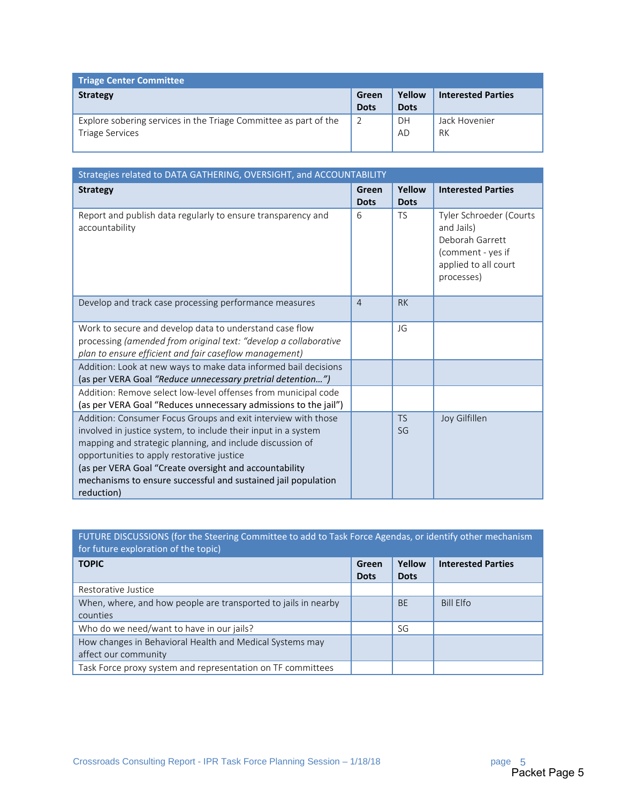| <b>Triage Center Committee</b>                                                             |                      |                       |                           |
|--------------------------------------------------------------------------------------------|----------------------|-----------------------|---------------------------|
| <b>Strategy</b>                                                                            | Green<br><b>Dots</b> | Yellow<br><b>Dots</b> | <b>Interested Parties</b> |
| Explore sobering services in the Triage Committee as part of the<br><b>Triage Services</b> | $\overline{2}$       | DH<br>AD              | Jack Hovenier<br>RK       |

| Strategies related to DATA GATHERING, OVERSIGHT, and ACCOUNTABILITY                                                                                                                                                                                                                                                                                                                 |                      |                       |                                                                                                                     |
|-------------------------------------------------------------------------------------------------------------------------------------------------------------------------------------------------------------------------------------------------------------------------------------------------------------------------------------------------------------------------------------|----------------------|-----------------------|---------------------------------------------------------------------------------------------------------------------|
| <b>Strategy</b>                                                                                                                                                                                                                                                                                                                                                                     | Green<br><b>Dots</b> | Yellow<br><b>Dots</b> | <b>Interested Parties</b>                                                                                           |
| Report and publish data regularly to ensure transparency and<br>accountability                                                                                                                                                                                                                                                                                                      | 6                    | <b>TS</b>             | Tyler Schroeder (Courts<br>and Jails)<br>Deborah Garrett<br>(comment - yes if<br>applied to all court<br>processes) |
| Develop and track case processing performance measures                                                                                                                                                                                                                                                                                                                              | $\overline{4}$       | <b>RK</b>             |                                                                                                                     |
| Work to secure and develop data to understand case flow<br>processing (amended from original text: "develop a collaborative<br>plan to ensure efficient and fair caseflow management)                                                                                                                                                                                               |                      | JG                    |                                                                                                                     |
| Addition: Look at new ways to make data informed bail decisions<br>(as per VERA Goal "Reduce unnecessary pretrial detention")                                                                                                                                                                                                                                                       |                      |                       |                                                                                                                     |
| Addition: Remove select low-level offenses from municipal code<br>(as per VERA Goal "Reduces unnecessary admissions to the jail")                                                                                                                                                                                                                                                   |                      |                       |                                                                                                                     |
| Addition: Consumer Focus Groups and exit interview with those<br>involved in justice system, to include their input in a system<br>mapping and strategic planning, and include discussion of<br>opportunities to apply restorative justice<br>(as per VERA Goal "Create oversight and accountability<br>mechanisms to ensure successful and sustained jail population<br>reduction) |                      | <b>TS</b><br>SG       | Joy Gilfillen                                                                                                       |

# FUTURE DISCUSSIONS (for the Steering Committee to add to Task Force Agendas, or identify other mechanism for future exploration of the topic)

| <b>TOPIC</b>                                                   | Green<br><b>Dots</b> | Yellow<br><b>Dots</b> | <b>Interested Parties</b> |
|----------------------------------------------------------------|----------------------|-----------------------|---------------------------|
| Restorative Justice                                            |                      |                       |                           |
| When, where, and how people are transported to jails in nearby |                      | <b>BE</b>             | <b>Bill Elfo</b>          |
| counties                                                       |                      |                       |                           |
| Who do we need/want to have in our jails?                      |                      | SG                    |                           |
| How changes in Behavioral Health and Medical Systems may       |                      |                       |                           |
| affect our community                                           |                      |                       |                           |
| Task Force proxy system and representation on TF committees    |                      |                       |                           |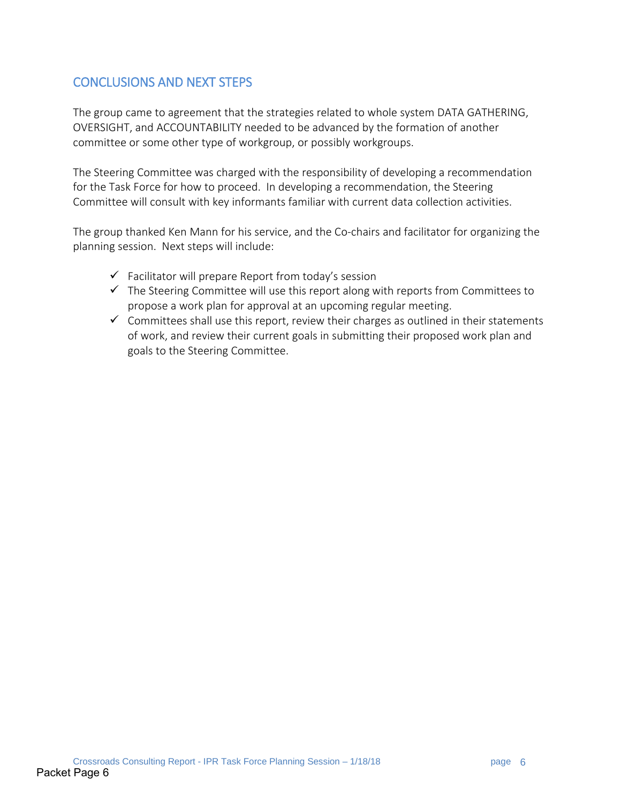# CONCLUSIONS AND NEXT STEPS

The group came to agreement that the strategies related to whole system DATA GATHERING, OVERSIGHT, and ACCOUNTABILITY needed to be advanced by the formation of another committee or some other type of workgroup, or possibly workgroups.

The Steering Committee was charged with the responsibility of developing a recommendation for the Task Force for how to proceed. In developing a recommendation, the Steering Committee will consult with key informants familiar with current data collection activities.

The group thanked Ken Mann for his service, and the Co-chairs and facilitator for organizing the planning session. Next steps will include:

- $\checkmark$  Facilitator will prepare Report from today's session
- $\checkmark$  The Steering Committee will use this report along with reports from Committees to propose a work plan for approval at an upcoming regular meeting.
- $\checkmark$  Committees shall use this report, review their charges as outlined in their statements of work, and review their current goals in submitting their proposed work plan and goals to the Steering Committee.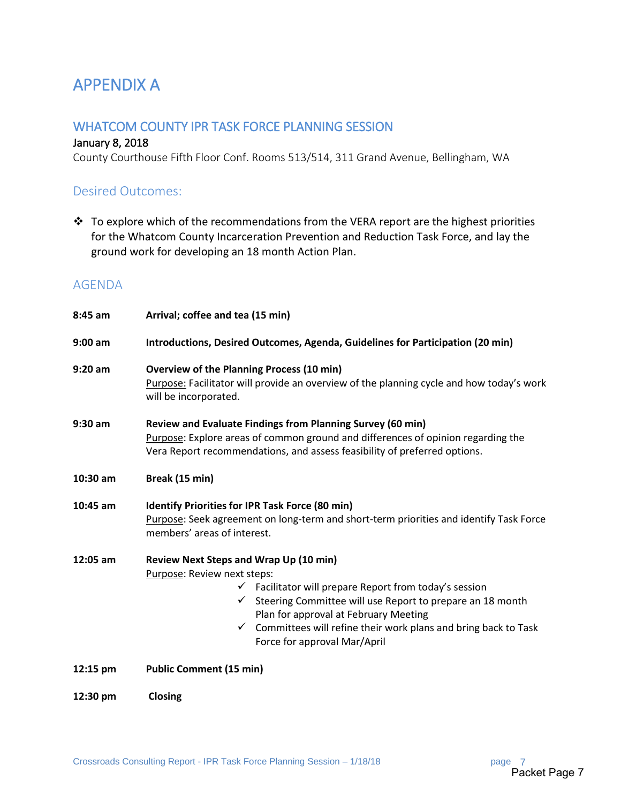# APPENDIX A

# WHATCOM COUNTY IPR TASK FORCE PLANNING SESSION

#### January 8, 2018

County Courthouse Fifth Floor Conf. Rooms 513/514, 311 Grand Avenue, Bellingham, WA

### Desired Outcomes:

 $\cdot \cdot$  To explore which of the recommendations from the VERA report are the highest priorities for the Whatcom County Incarceration Prevention and Reduction Task Force, and lay the ground work for developing an 18 month Action Plan.

# AGENDA

| 8:45 am   | Arrival; coffee and tea (15 min)                                                                                                                                                                                                                                                                                                                                   |  |  |  |  |
|-----------|--------------------------------------------------------------------------------------------------------------------------------------------------------------------------------------------------------------------------------------------------------------------------------------------------------------------------------------------------------------------|--|--|--|--|
| $9:00$ am | Introductions, Desired Outcomes, Agenda, Guidelines for Participation (20 min)                                                                                                                                                                                                                                                                                     |  |  |  |  |
| $9:20$ am | <b>Overview of the Planning Process (10 min)</b><br>Purpose: Facilitator will provide an overview of the planning cycle and how today's work<br>will be incorporated.                                                                                                                                                                                              |  |  |  |  |
| 9:30 am   | Review and Evaluate Findings from Planning Survey (60 min)<br>Purpose: Explore areas of common ground and differences of opinion regarding the<br>Vera Report recommendations, and assess feasibility of preferred options.                                                                                                                                        |  |  |  |  |
| 10:30 am  | Break (15 min)                                                                                                                                                                                                                                                                                                                                                     |  |  |  |  |
| 10:45 am  | Identify Priorities for IPR Task Force (80 min)<br>Purpose: Seek agreement on long-term and short-term priorities and identify Task Force<br>members' areas of interest.                                                                                                                                                                                           |  |  |  |  |
| 12:05 am  | Review Next Steps and Wrap Up (10 min)<br>Purpose: Review next steps:<br>$\checkmark$ Facilitator will prepare Report from today's session<br>Steering Committee will use Report to prepare an 18 month<br>Plan for approval at February Meeting<br>Committees will refine their work plans and bring back to Task<br>$\checkmark$<br>Force for approval Mar/April |  |  |  |  |
| 12:15 pm  | <b>Public Comment (15 min)</b>                                                                                                                                                                                                                                                                                                                                     |  |  |  |  |
| 12:30 pm  | Closing                                                                                                                                                                                                                                                                                                                                                            |  |  |  |  |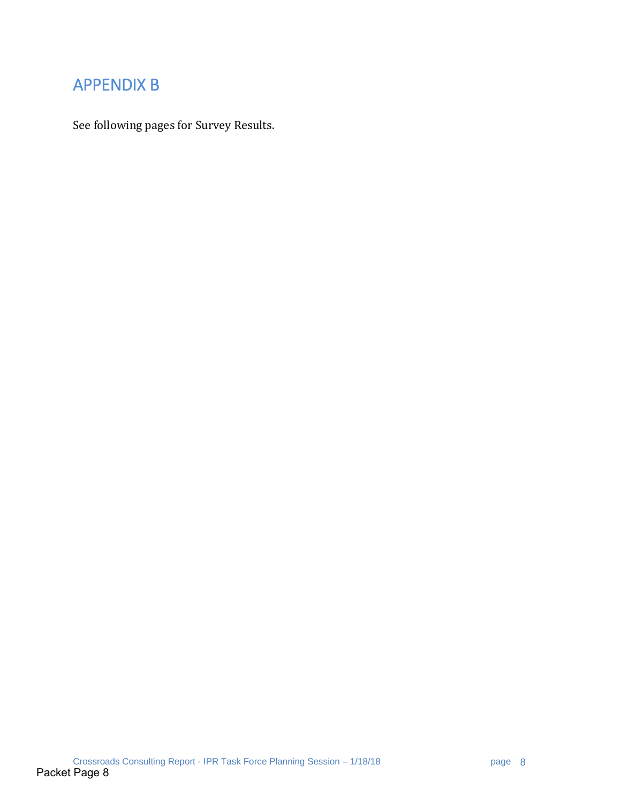# APPENDIX B

See following pages for Survey Results.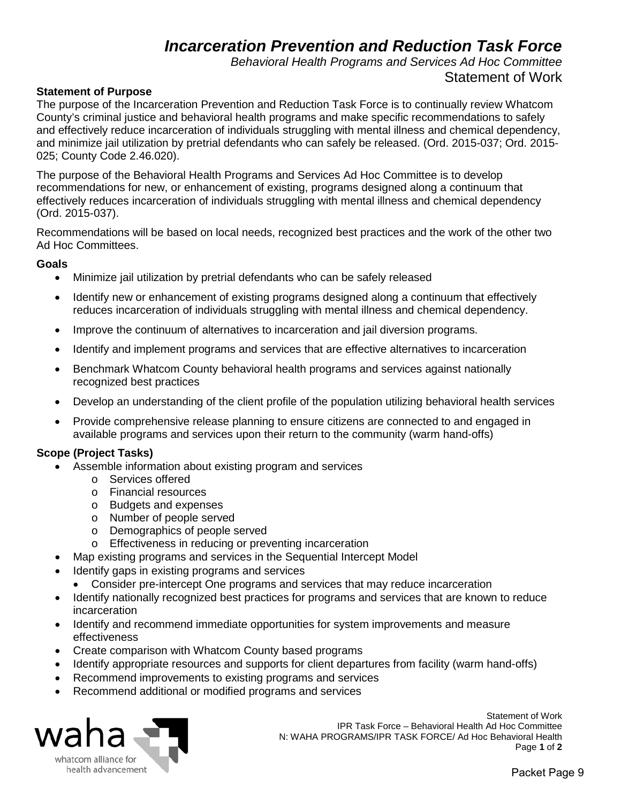# *Incarceration Prevention and Reduction Task Force*

*Behavioral Health Programs and Services Ad Hoc Committee* Statement of Work

#### **Statement of Purpose**

The purpose of the Incarceration Prevention and Reduction Task Force is to continually review Whatcom County's criminal justice and behavioral health programs and make specific recommendations to safely and effectively reduce incarceration of individuals struggling with mental illness and chemical dependency, and minimize jail utilization by pretrial defendants who can safely be released. (Ord. 2015-037; Ord. 2015- 025; County Code 2.46.020).

The purpose of the Behavioral Health Programs and Services Ad Hoc Committee is to develop recommendations for new, or enhancement of existing, programs designed along a continuum that effectively reduces incarceration of individuals struggling with mental illness and chemical dependency (Ord. 2015-037).

Recommendations will be based on local needs, recognized best practices and the work of the other two Ad Hoc Committees.

#### **Goals**

- Minimize jail utilization by pretrial defendants who can be safely released
- Identify new or enhancement of existing programs designed along a continuum that effectively reduces incarceration of individuals struggling with mental illness and chemical dependency.
- Improve the continuum of alternatives to incarceration and jail diversion programs.
- Identify and implement programs and services that are effective alternatives to incarceration
- Benchmark Whatcom County behavioral health programs and services against nationally recognized best practices
- Develop an understanding of the client profile of the population utilizing behavioral health services
- Provide comprehensive release planning to ensure citizens are connected to and engaged in available programs and services upon their return to the community (warm hand-offs)

#### **Scope (Project Tasks)**

- Assemble information about existing program and services
	- o Services offered
	- o Financial resources
	- o Budgets and expenses
	- o Number of people served
	- o Demographics of people served
	- o Effectiveness in reducing or preventing incarceration
- Map existing programs and services in the Sequential Intercept Model
- Identify gaps in existing programs and services
	- Consider pre-intercept One programs and services that may reduce incarceration
- Identify nationally recognized best practices for programs and services that are known to reduce incarceration
- Identify and recommend immediate opportunities for system improvements and measure effectiveness
- Create comparison with Whatcom County based programs
- Identify appropriate resources and supports for client departures from facility (warm hand-offs)
- Recommend improvements to existing programs and services
- Recommend additional or modified programs and services



Statement of Work IPR Task Force – Behavioral Health Ad Hoc Committee N: WAHA PROGRAMS/IPR TASK FORCE/ Ad Hoc Behavioral Health<br>Page 1 of 2 Page **1** of **2**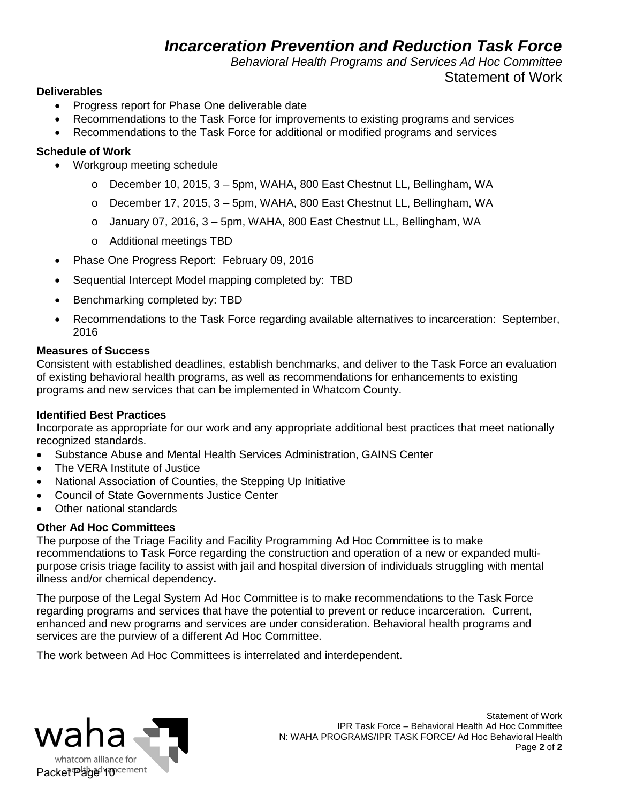# *Incarceration Prevention and Reduction Task Force*

*Behavioral Health Programs and Services Ad Hoc Committee*

# Statement of Work

#### **Deliverables**

- Progress report for Phase One deliverable date
- Recommendations to the Task Force for improvements to existing programs and services
- Recommendations to the Task Force for additional or modified programs and services

### **Schedule of Work**

- Workgroup meeting schedule
	- o December 10, 2015, 3 5pm, WAHA, 800 East Chestnut LL, Bellingham, WA
	- o December 17, 2015, 3 5pm, WAHA, 800 East Chestnut LL, Bellingham, WA
	- o January 07, 2016, 3 5pm, WAHA, 800 East Chestnut LL, Bellingham, WA
	- o Additional meetings TBD
- Phase One Progress Report: February 09, 2016
- Sequential Intercept Model mapping completed by: TBD
- Benchmarking completed by: TBD
- Recommendations to the Task Force regarding available alternatives to incarceration: September, 2016

#### **Measures of Success**

Consistent with established deadlines, establish benchmarks, and deliver to the Task Force an evaluation of existing behavioral health programs, as well as recommendations for enhancements to existing programs and new services that can be implemented in Whatcom County.

#### **Identified Best Practices**

Incorporate as appropriate for our work and any appropriate additional best practices that meet nationally recognized standards.

- Substance Abuse and Mental Health Services Administration, GAINS Center
- The VERA Institute of Justice
- National Association of Counties, the Stepping Up Initiative
- Council of State Governments Justice Center
- Other national standards

#### **Other Ad Hoc Committees**

The purpose of the Triage Facility and Facility Programming Ad Hoc Committee is to make recommendations to Task Force regarding the construction and operation of a new or expanded multipurpose crisis triage facility to assist with jail and hospital diversion of individuals struggling with mental illness and/or chemical dependency**.** 

The purpose of the Legal System Ad Hoc Committee is to make recommendations to the Task Force regarding programs and services that have the potential to prevent or reduce incarceration. Current, enhanced and new programs and services are under consideration. Behavioral health programs and services are the purview of a different Ad Hoc Committee.

The work between Ad Hoc Committees is interrelated and interdependent.

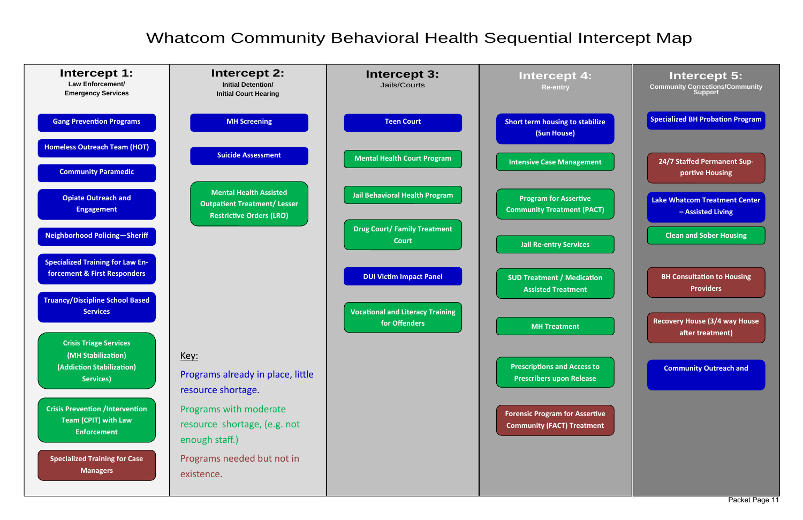# Whatcom Community Behavioral Health Sequential Intercept Map

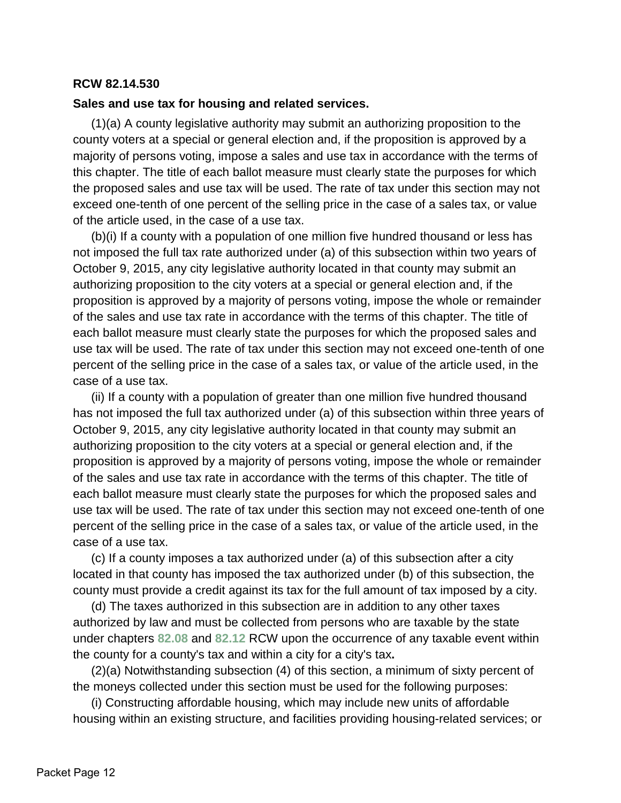#### **RCW 82.14.530**

#### **Sales and use tax for housing and related services.**

(1)(a) A county legislative authority may submit an authorizing proposition to the county voters at a special or general election and, if the proposition is approved by a majority of persons voting, impose a sales and use tax in accordance with the terms of this chapter. The title of each ballot measure must clearly state the purposes for which the proposed sales and use tax will be used. The rate of tax under this section may not exceed one-tenth of one percent of the selling price in the case of a sales tax, or value of the article used, in the case of a use tax.

(b)(i) If a county with a population of one million five hundred thousand or less has not imposed the full tax rate authorized under (a) of this subsection within two years of October 9, 2015, any city legislative authority located in that county may submit an authorizing proposition to the city voters at a special or general election and, if the proposition is approved by a majority of persons voting, impose the whole or remainder of the sales and use tax rate in accordance with the terms of this chapter. The title of each ballot measure must clearly state the purposes for which the proposed sales and use tax will be used. The rate of tax under this section may not exceed one-tenth of one percent of the selling price in the case of a sales tax, or value of the article used, in the case of a use tax.

(ii) If a county with a population of greater than one million five hundred thousand has not imposed the full tax authorized under (a) of this subsection within three years of October 9, 2015, any city legislative authority located in that county may submit an authorizing proposition to the city voters at a special or general election and, if the proposition is approved by a majority of persons voting, impose the whole or remainder of the sales and use tax rate in accordance with the terms of this chapter. The title of each ballot measure must clearly state the purposes for which the proposed sales and use tax will be used. The rate of tax under this section may not exceed one-tenth of one percent of the selling price in the case of a sales tax, or value of the article used, in the case of a use tax.

(c) If a county imposes a tax authorized under (a) of this subsection after a city located in that county has imposed the tax authorized under (b) of this subsection, the county must provide a credit against its tax for the full amount of tax imposed by a city.

(d) The taxes authorized in this subsection are in addition to any other taxes authorized by law and must be collected from persons who are taxable by the state under chapters **[82.08](http://app.leg.wa.gov/RCW/default.aspx?cite=82.08)** and **[82.12](http://app.leg.wa.gov/RCW/default.aspx?cite=82.12)** RCW upon the occurrence of any taxable event within the county for a county's tax and within a city for a city's tax**.**

(2)(a) Notwithstanding subsection (4) of this section, a minimum of sixty percent of the moneys collected under this section must be used for the following purposes:

(i) Constructing affordable housing, which may include new units of affordable housing within an existing structure, and facilities providing housing-related services; or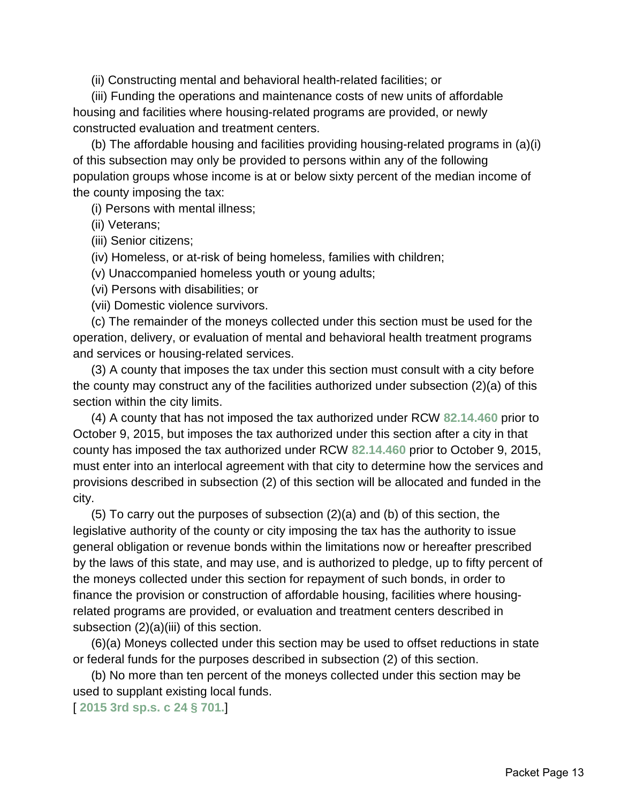(ii) Constructing mental and behavioral health-related facilities; or

(iii) Funding the operations and maintenance costs of new units of affordable housing and facilities where housing-related programs are provided, or newly constructed evaluation and treatment centers.

(b) The affordable housing and facilities providing housing-related programs in (a)(i) of this subsection may only be provided to persons within any of the following population groups whose income is at or below sixty percent of the median income of the county imposing the tax:

(i) Persons with mental illness;

(ii) Veterans;

(iii) Senior citizens;

(iv) Homeless, or at-risk of being homeless, families with children;

(v) Unaccompanied homeless youth or young adults;

(vi) Persons with disabilities; or

(vii) Domestic violence survivors.

(c) The remainder of the moneys collected under this section must be used for the operation, delivery, or evaluation of mental and behavioral health treatment programs and services or housing-related services.

(3) A county that imposes the tax under this section must consult with a city before the county may construct any of the facilities authorized under subsection (2)(a) of this section within the city limits.

(4) A county that has not imposed the tax authorized under RCW **[82.14.460](http://app.leg.wa.gov/RCW/default.aspx?cite=82.14.460)** prior to October 9, 2015, but imposes the tax authorized under this section after a city in that county has imposed the tax authorized under RCW **[82.14.460](http://app.leg.wa.gov/RCW/default.aspx?cite=82.14.460)** prior to October 9, 2015, must enter into an interlocal agreement with that city to determine how the services and provisions described in subsection (2) of this section will be allocated and funded in the city.

(5) To carry out the purposes of subsection (2)(a) and (b) of this section, the legislative authority of the county or city imposing the tax has the authority to issue general obligation or revenue bonds within the limitations now or hereafter prescribed by the laws of this state, and may use, and is authorized to pledge, up to fifty percent of the moneys collected under this section for repayment of such bonds, in order to finance the provision or construction of affordable housing, facilities where housingrelated programs are provided, or evaluation and treatment centers described in subsection (2)(a)(iii) of this section.

(6)(a) Moneys collected under this section may be used to offset reductions in state or federal funds for the purposes described in subsection (2) of this section.

(b) No more than ten percent of the moneys collected under this section may be used to supplant existing local funds.

[ **[2015 3rd sp.s. c 24 § 701.](http://lawfilesext.leg.wa.gov/biennium/2015-16/Pdf/Bills/Session%20Laws/House/2263-S.SL.pdf?cite=2015%203rd%20sp.s.%20c%2024%20%C2%A7%20701.)**]